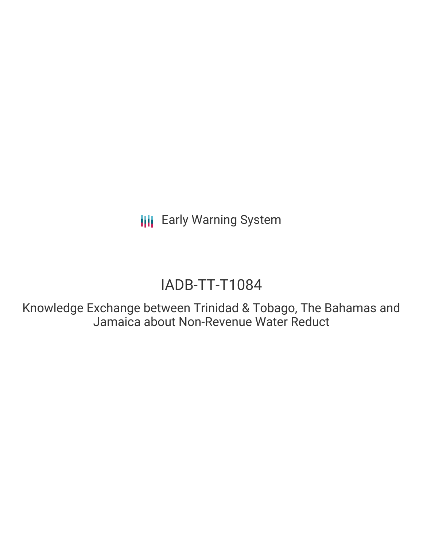**III** Early Warning System

# IADB-TT-T1084

Knowledge Exchange between Trinidad & Tobago, The Bahamas and Jamaica about Non-Revenue Water Reduct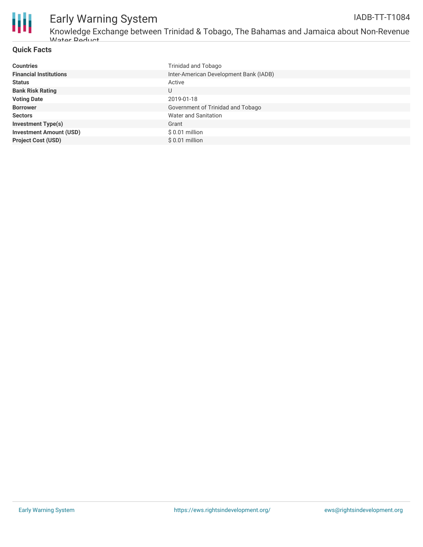

# Early Warning System

Knowledge Exchange between Trinidad & Tobago, The Bahamas and Jamaica about Non-Revenue Water Reduct

#### **Quick Facts**

| <b>Countries</b>               | Trinidad and Tobago                    |
|--------------------------------|----------------------------------------|
| <b>Financial Institutions</b>  | Inter-American Development Bank (IADB) |
| <b>Status</b>                  | Active                                 |
| <b>Bank Risk Rating</b>        | U                                      |
| <b>Voting Date</b>             | 2019-01-18                             |
| <b>Borrower</b>                | Government of Trinidad and Tobago      |
| <b>Sectors</b>                 | Water and Sanitation                   |
| <b>Investment Type(s)</b>      | Grant                                  |
| <b>Investment Amount (USD)</b> | $$0.01$ million                        |
| <b>Project Cost (USD)</b>      | $$0.01$ million                        |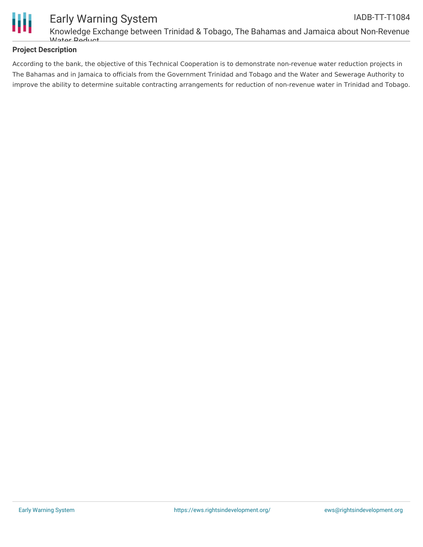

### **Project Description**

**Mator Doduct** 

According to the bank, the objective of this Technical Cooperation is to demonstrate non-revenue water reduction projects in The Bahamas and in Jamaica to officials from the Government Trinidad and Tobago and the Water and Sewerage Authority to improve the ability to determine suitable contracting arrangements for reduction of non-revenue water in Trinidad and Tobago.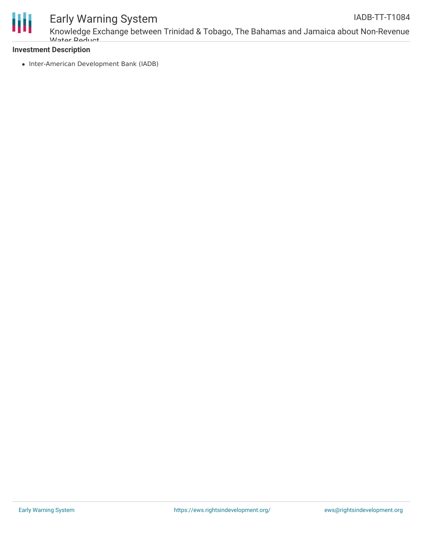

## Early Warning System

### **Investment Description**

• Inter-American Development Bank (IADB)

**Mator Doduct**